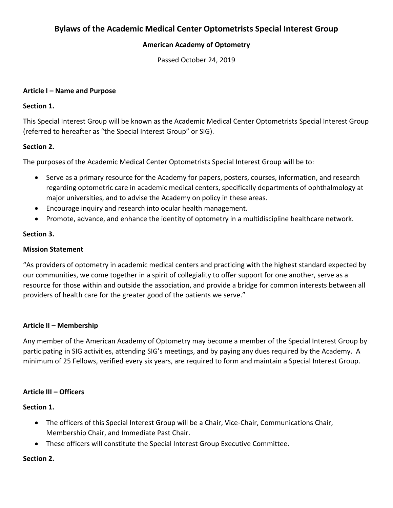# **Bylaws of the Academic Medical Center Optometrists Special Interest Group**

## **American Academy of Optometry**

Passed October 24, 2019

#### **Article I – Name and Purpose**

### **Section 1.**

This Special Interest Group will be known as the Academic Medical Center Optometrists Special Interest Group (referred to hereafter as "the Special Interest Group" or SIG).

### **Section 2.**

The purposes of the Academic Medical Center Optometrists Special Interest Group will be to:

- Serve as a primary resource for the Academy for papers, posters, courses, information, and research regarding optometric care in academic medical centers, specifically departments of ophthalmology at major universities, and to advise the Academy on policy in these areas.
- Encourage inquiry and research into ocular health management.
- Promote, advance, and enhance the identity of optometry in a multidiscipline healthcare network.

#### **Section 3.**

#### **Mission Statement**

"As providers of optometry in academic medical centers and practicing with the highest standard expected by our communities, we come together in a spirit of collegiality to offer support for one another, serve as a resource for those within and outside the association, and provide a bridge for common interests between all providers of health care for the greater good of the patients we serve."

### **Article II – Membership**

Any member of the American Academy of Optometry may become a member of the Special Interest Group by participating in SIG activities, attending SIG's meetings, and by paying any dues required by the Academy. A minimum of 25 Fellows, verified every six years, are required to form and maintain a Special Interest Group.

### **Article III – Officers**

**Section 1.**

- The officers of this Special Interest Group will be a Chair, Vice-Chair, Communications Chair, Membership Chair, and Immediate Past Chair.
- These officers will constitute the Special Interest Group Executive Committee.

### **Section 2.**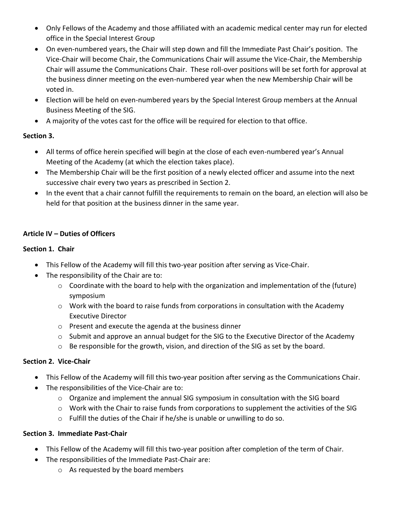- Only Fellows of the Academy and those affiliated with an academic medical center may run for elected office in the Special Interest Group
- On even-numbered years, the Chair will step down and fill the Immediate Past Chair's position. The Vice-Chair will become Chair, the Communications Chair will assume the Vice-Chair, the Membership Chair will assume the Communications Chair. These roll-over positions will be set forth for approval at the business dinner meeting on the even-numbered year when the new Membership Chair will be voted in.
- Election will be held on even-numbered years by the Special Interest Group members at the Annual Business Meeting of the SIG.
- A majority of the votes cast for the office will be required for election to that office.

## **Section 3.**

- All terms of office herein specified will begin at the close of each even-numbered year's Annual Meeting of the Academy (at which the election takes place).
- The Membership Chair will be the first position of a newly elected officer and assume into the next successive chair every two years as prescribed in Section 2.
- In the event that a chair cannot fulfill the requirements to remain on the board, an election will also be held for that position at the business dinner in the same year.

## **Article IV – Duties of Officers**

## **Section 1. Chair**

- This Fellow of the Academy will fill this two-year position after serving as Vice-Chair.
- The responsibility of the Chair are to:
	- o Coordinate with the board to help with the organization and implementation of the (future) symposium
	- $\circ$  Work with the board to raise funds from corporations in consultation with the Academy Executive Director
	- o Present and execute the agenda at the business dinner
	- $\circ$  Submit and approve an annual budget for the SIG to the Executive Director of the Academy
	- $\circ$  Be responsible for the growth, vision, and direction of the SIG as set by the board.

## **Section 2. Vice-Chair**

- This Fellow of the Academy will fill this two-year position after serving as the Communications Chair.
- The responsibilities of the Vice-Chair are to:
	- $\circ$  Organize and implement the annual SIG symposium in consultation with the SIG board
	- $\circ$  Work with the Chair to raise funds from corporations to supplement the activities of the SIG
	- o Fulfill the duties of the Chair if he/she is unable or unwilling to do so.

## **Section 3. Immediate Past-Chair**

- This Fellow of the Academy will fill this two-year position after completion of the term of Chair.
- The responsibilities of the Immediate Past-Chair are:
	- o As requested by the board members